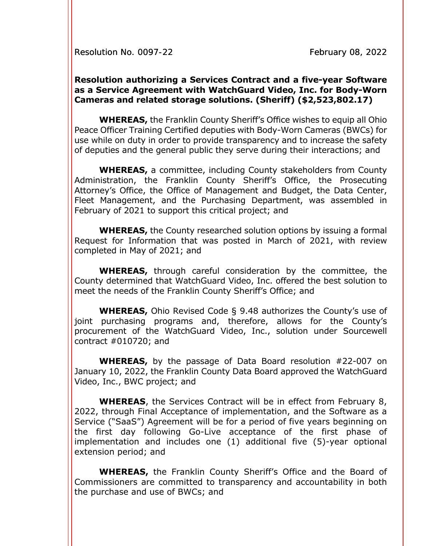Resolution No. 0097-22 February 08, 2022

## **Resolution authorizing a Services Contract and a five-year Software as a Service Agreement with WatchGuard Video, Inc. for Body-Worn Cameras and related storage solutions. (Sheriff) (\$2,523,802.17)**

**WHEREAS,** the Franklin County Sheriff's Office wishes to equip all Ohio Peace Officer Training Certified deputies with Body-Worn Cameras (BWCs) for use while on duty in order to provide transparency and to increase the safety of deputies and the general public they serve during their interactions; and

**WHEREAS,** a committee, including County stakeholders from County Administration, the Franklin County Sheriff's Office, the Prosecuting Attorney's Office, the Office of Management and Budget, the Data Center, Fleet Management, and the Purchasing Department, was assembled in February of 2021 to support this critical project; and

**WHEREAS,** the County researched solution options by issuing a formal Request for Information that was posted in March of 2021, with review completed in May of 2021; and

**WHEREAS,** through careful consideration by the committee, the County determined that WatchGuard Video, Inc. offered the best solution to meet the needs of the Franklin County Sheriff's Office; and

**WHEREAS,** Ohio Revised Code § 9.48 authorizes the County's use of joint purchasing programs and, therefore, allows for the County's procurement of the WatchGuard Video, Inc., solution under Sourcewell contract #010720; and

**WHEREAS,** by the passage of Data Board resolution #22-007 on January 10, 2022, the Franklin County Data Board approved the WatchGuard Video, Inc., BWC project; and

**WHEREAS**, the Services Contract will be in effect from February 8, 2022, through Final Acceptance of implementation, and the Software as a Service ("SaaS") Agreement will be for a period of five years beginning on the first day following Go-Live acceptance of the first phase of implementation and includes one (1) additional five (5)-year optional extension period; and

**WHEREAS,** the Franklin County Sheriff's Office and the Board of Commissioners are committed to transparency and accountability in both the purchase and use of BWCs; and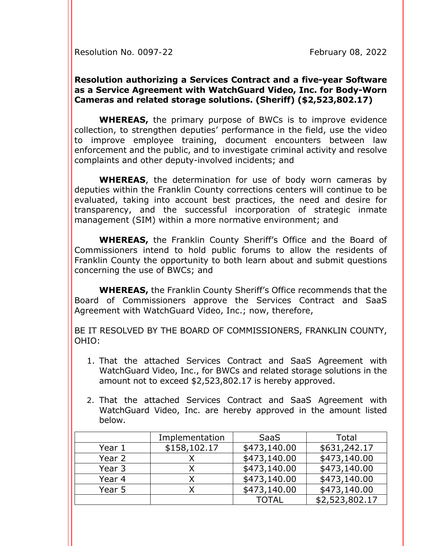Resolution No. 0097-22 February 08, 2022

## **Resolution authorizing a Services Contract and a five-year Software as a Service Agreement with WatchGuard Video, Inc. for Body-Worn Cameras and related storage solutions. (Sheriff) (\$2,523,802.17)**

**WHEREAS,** the primary purpose of BWCs is to improve evidence collection, to strengthen deputies' performance in the field, use the video to improve employee training, document encounters between law enforcement and the public, and to investigate criminal activity and resolve complaints and other deputy-involved incidents; and

**WHEREAS**, the determination for use of body worn cameras by deputies within the Franklin County corrections centers will continue to be evaluated, taking into account best practices, the need and desire for transparency, and the successful incorporation of strategic inmate management (SIM) within a more normative environment; and

**WHEREAS,** the Franklin County Sheriff's Office and the Board of Commissioners intend to hold public forums to allow the residents of Franklin County the opportunity to both learn about and submit questions concerning the use of BWCs; and

**WHEREAS,** the Franklin County Sheriff's Office recommends that the Board of Commissioners approve the Services Contract and SaaS Agreement with WatchGuard Video, Inc.; now, therefore,

BE IT RESOLVED BY THE BOARD OF COMMISSIONERS, FRANKLIN COUNTY, OHIO:

- 1. That the attached Services Contract and SaaS Agreement with WatchGuard Video, Inc., for BWCs and related storage solutions in the amount not to exceed \$2,523,802.17 is hereby approved.
- 2. That the attached Services Contract and SaaS Agreement with WatchGuard Video, Inc. are hereby approved in the amount listed below.

|        | Implementation | <b>SaaS</b>  | Total          |
|--------|----------------|--------------|----------------|
| Year 1 | \$158,102.17   | \$473,140.00 | \$631,242.17   |
| Year 2 |                | \$473,140.00 | \$473,140.00   |
| Year 3 |                | \$473,140.00 | \$473,140.00   |
| Year 4 | Χ              | \$473,140.00 | \$473,140.00   |
| Year 5 | Χ              | \$473,140.00 | \$473,140.00   |
|        |                | <b>TOTAL</b> | \$2,523,802.17 |